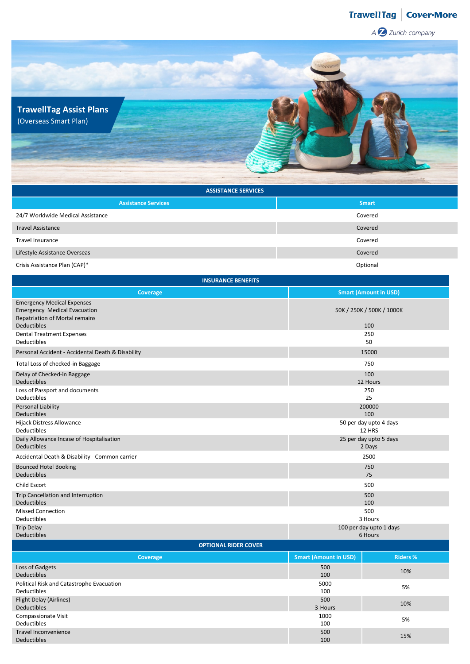## TrawellTag | Cover·More

A Z Zurich company



| <b>ASSISTANCE SERVICES</b>        |              |  |  |  |  |  |
|-----------------------------------|--------------|--|--|--|--|--|
| <b>Assistance Services</b>        | <b>Smart</b> |  |  |  |  |  |
| 24/7 Worldwide Medical Assistance | Covered      |  |  |  |  |  |
| <b>Travel Assistance</b>          | Covered      |  |  |  |  |  |
| <b>Travel Insurance</b>           | Covered      |  |  |  |  |  |
| Lifestyle Assistance Overseas     | Covered      |  |  |  |  |  |
| Crisis Assistance Plan (CAP)*     | Optional     |  |  |  |  |  |

| <b>INSURANCE BENEFITS</b>                                                                                                               |                                  |                                    |  |  |  |  |  |
|-----------------------------------------------------------------------------------------------------------------------------------------|----------------------------------|------------------------------------|--|--|--|--|--|
| Coverage                                                                                                                                |                                  | <b>Smart (Amount in USD)</b>       |  |  |  |  |  |
| <b>Emergency Medical Expenses</b><br><b>Emergency Medical Evacuation</b><br><b>Repatriation of Mortal remains</b><br><b>Deductibles</b> |                                  | 50K / 250K / 500K / 1000K<br>100   |  |  |  |  |  |
| <b>Dental Treatment Expenses</b><br>Deductibles                                                                                         |                                  | 250<br>50                          |  |  |  |  |  |
| Personal Accident - Accidental Death & Disability                                                                                       |                                  | 15000                              |  |  |  |  |  |
| Total Loss of checked-in Baggage                                                                                                        |                                  | 750                                |  |  |  |  |  |
| Delay of Checked-in Baggage<br><b>Deductibles</b>                                                                                       |                                  | 100<br>12 Hours                    |  |  |  |  |  |
| Loss of Passport and documents<br><b>Deductibles</b>                                                                                    |                                  | 250<br>25                          |  |  |  |  |  |
| Personal Liability<br>Deductibles                                                                                                       | 200000<br>100                    |                                    |  |  |  |  |  |
| Hijack Distress Allowance<br>Deductibles                                                                                                | 50 per day upto 4 days<br>12 HRS |                                    |  |  |  |  |  |
| Daily Allowance Incase of Hospitalisation<br><b>Deductibles</b>                                                                         | 25 per day upto 5 days<br>2 Days |                                    |  |  |  |  |  |
| Accidental Death & Disability - Common carrier                                                                                          | 2500                             |                                    |  |  |  |  |  |
| <b>Bounced Hotel Booking</b><br><b>Deductibles</b>                                                                                      |                                  | 750<br>75                          |  |  |  |  |  |
| Child Escort                                                                                                                            |                                  | 500                                |  |  |  |  |  |
| Trip Cancellation and Interruption<br><b>Deductibles</b>                                                                                |                                  | 500<br>100                         |  |  |  |  |  |
| <b>Missed Connection</b><br>Deductibles                                                                                                 |                                  | 500<br>3 Hours                     |  |  |  |  |  |
| <b>Trip Delay</b><br><b>Deductibles</b>                                                                                                 |                                  | 100 per day upto 1 days<br>6 Hours |  |  |  |  |  |
| <b>OPTIONAL RIDER COVER</b>                                                                                                             |                                  |                                    |  |  |  |  |  |
| Coverage                                                                                                                                | <b>Smart (Amount in USD)</b>     | <b>Riders %</b>                    |  |  |  |  |  |
| Loss of Gadgets<br>Deductibles                                                                                                          | 500<br>100                       | 10%                                |  |  |  |  |  |
| Political Risk and Catastrophe Evacuation<br><b>Deductibles</b>                                                                         | 5000<br>100                      | 5%                                 |  |  |  |  |  |

| Deuuclipies                               | TOO     |     |
|-------------------------------------------|---------|-----|
| Political Risk and Catastrophe Evacuation | 5000    | 5%  |
| Deductibles                               | 100     |     |
| Flight Delay (Airlines)                   | 500     | 10% |
| Deductibles                               | 3 Hours |     |
| Compassionate Visit                       | 1000    | 5%  |
| Deductibles                               | 100     |     |
| Travel Inconvenience                      | 500     | 15% |
| <b>Deductibles</b>                        | 100     |     |
|                                           |         |     |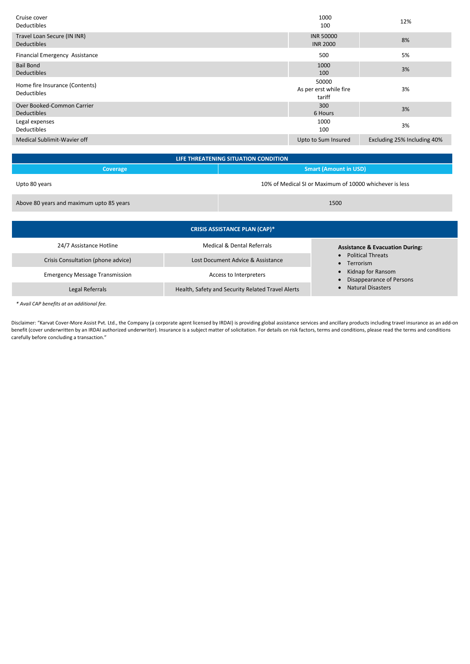| Cruise cover<br>Deductibles                          | 1000<br>100                               | 12%                         |
|------------------------------------------------------|-------------------------------------------|-----------------------------|
| Travel Loan Secure (IN INR)<br><b>Deductibles</b>    | <b>INR 50000</b><br><b>INR 2000</b>       | 8%                          |
| Financial Emergency Assistance                       | 500                                       | 5%                          |
| <b>Bail Bond</b><br><b>Deductibles</b>               | 1000<br>100                               | 3%                          |
| Home fire Insurance (Contents)<br><b>Deductibles</b> | 50000<br>As per erst while fire<br>tariff | 3%                          |
| Over Booked-Common Carrier<br><b>Deductibles</b>     | 300<br>6 Hours                            | 3%                          |
| Legal expenses<br><b>Deductibles</b>                 | 1000<br>100                               | 3%                          |
| Medical Sublimit-Wavier off                          | Upto to Sum Insured                       | Excluding 25% Including 40% |

| LIFE THREATENING SITUATION CONDITION     |                                                         |  |  |  |  |  |
|------------------------------------------|---------------------------------------------------------|--|--|--|--|--|
| Coverage                                 | <b>Smart (Amount in USD)</b>                            |  |  |  |  |  |
| Upto 80 years                            | 10% of Medical SI or Maximum of 10000 whichever is less |  |  |  |  |  |
| Above 80 years and maximum upto 85 years | 1500                                                    |  |  |  |  |  |
|                                          |                                                         |  |  |  |  |  |

| <b>CRISIS ASSISTANCE PLAN (CAP)*</b>  |                                                   |                                               |  |  |  |  |  |  |
|---------------------------------------|---------------------------------------------------|-----------------------------------------------|--|--|--|--|--|--|
| 24/7 Assistance Hotline               | Medical & Dental Referrals                        | <b>Assistance &amp; Evacuation During:</b>    |  |  |  |  |  |  |
| Crisis Consultation (phone advice)    | Lost Document Advice & Assistance                 | <b>Political Threats</b><br>Terrorism         |  |  |  |  |  |  |
| <b>Emergency Message Transmission</b> | Access to Interpreters                            | Kidnap for Ransom<br>Disappearance of Persons |  |  |  |  |  |  |
| Legal Referrals                       | Health, Safety and Security Related Travel Alerts | <b>Natural Disasters</b>                      |  |  |  |  |  |  |

*\* Avail CAP benefits at an additional fee.*

Disclaimer: "Karvat Cover-More Assist Pvt. Ltd., the Company (a corporate agent licensed by IRDAI) is providing global assistance services and ancillary products including travel insurance as an add-on benefit (cover underwritten by an IRDAI authorized underwriter). Insurance is a subject matter of solicitation. For details on risk factors, terms and conditions, please read the terms and conditions carefully before concluding a transaction."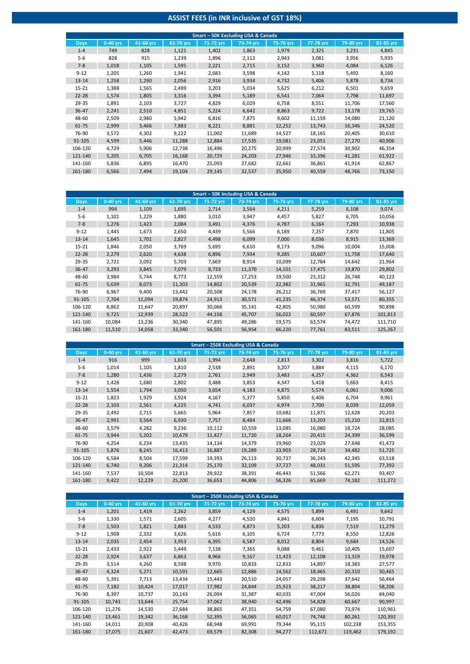## **ASSIST FEES (in INR inclusive of GST 18%)**

| Smart - 50K Excluding USA & Canada |            |           |           |             |           |           |           |           |           |  |
|------------------------------------|------------|-----------|-----------|-------------|-----------|-----------|-----------|-----------|-----------|--|
| <b>Days</b>                        | $0-40$ yrs | 41-60 yrs | 61-70 yrs | $71-72$ yrs | 73-74 yrs | 75-76 yrs | 77-78 yrs | 79-80 yrs | 81-85 yrs |  |
| $1 - 4$                            | 749        | 828       | 1,121     | 1,402       | 1,863     | 1,979     | 2,325     | 3,231     | 4,845     |  |
| $5-6$                              | 828        | 915       | 1,239     | 1,896       | 2,112     | 2,943     | 3,081     | 3,956     | 5,935     |  |
| $7 - 8$                            | 1,018      | 1,105     | 1,595     | 2,221       | 2,715     | 3,152     | 3,960     | 4,084     | 6,126     |  |
| $9 - 12$                           | 1,205      | 1,260     | 1,941     | 2,683       | 3,598     | 4,142     | 5,118     | 5,492     | 8,160     |  |
| $13 - 14$                          | 1,258      | 1,290     | 2,056     | 2,916       | 3,934     | 4,732     | 5,406     | 5,878     | 8,734     |  |
| $15 - 21$                          | 1,388      | 1,565     | 2,499     | 3,203       | 5,034     | 5,625     | 6,212     | 6,501     | 9,659     |  |
| $22 - 28$                          | 1,574      | 1,805     | 3,316     | 3,394       | 5,189     | 6,541     | 7,064     | 7,798     | 11,697    |  |
| 29-35                              | 1,891      | 2,103     | 3,727     | 4,829       | 6,029     | 6,758     | 8,551     | 11,706    | 17,560    |  |
| $36 - 47$                          | 2,241      | 2,510     | 4,851     | 5,224       | 6,642     | 8,863     | 9,722     | 13,178    | 19,765    |  |
| 48-60                              | 2,509      | 2,980     | 5,942     | 6,816       | 7,875     | 9,602     | 11,159    | 14,080    | 21,120    |  |
| 61-75                              | 2,999      | 3,466     | 7,883     | 8,221       | 8,881     | 12,252    | 13,743    | 16,346    | 24,520    |  |
| 76-90                              | 3,572      | 4,302     | 9,222     | 11,002      | 11,689    | 14,527    | 18,165    | 20,405    | 30,610    |  |
| 91-105                             | 4,599      | 5,446     | 11,288    | 12,884      | 17,535    | 19,081    | 23,051    | 27,270    | 40,906    |  |
| 106-120                            | 4,729      | 5,906     | 12,738    | 16,496      | 20,275    | 20,999    | 27,574    | 30,902    | 46,354    |  |
| 121-140                            | 5,205      | 6,705     | 16,168    | 20,729      | 24,203    | 27,946    | 33,396    | 41,281    | 61,922    |  |
| 141-160                            | 5,836      | 6,895     | 16,470    | 25,093      | 27,682    | 32,661    | 36,861    | 41,914    | 62,867    |  |
| 161-180                            | 6,566      | 7,494     | 19,104    | 29,145      | 32,537    | 35,950    | 40,559    | 48,766    | 73,150    |  |

| Smart - 50K Including USA & Canada |            |           |           |           |           |           |           |           |           |  |
|------------------------------------|------------|-----------|-----------|-----------|-----------|-----------|-----------|-----------|-----------|--|
| Days,                              | $0-40$ yrs | 41-60 yrs | 61-70 yrs | 71-72 yrs | 73-74 yrs | 75-76 yrs | 77-78 yrs | 79-80 yrs | 81-85 yrs |  |
| $1 - 4$                            | 994        | 1,109     | 1,695     | 2,714     | 3,564     | 4,211     | 5,259     | 6,108     | 9,074     |  |
| $5 - 6$                            | 1,101      | 1,229     | 1,880     | 3,010     | 3,947     | 4,457     | 5,827     | 6,705     | 10,056    |  |
| $7 - 8$                            | 1,276      | 1,423     | 2,084     | 3,491     | 4,376     | 4,787     | 6,164     | 7,293     | 10,938    |  |
| $9 - 12$                           | 1,445      | 1,673     | 2,650     | 4,439     | 5,566     | 6,189     | 7,257     | 7,870     | 11,805    |  |
| $13 - 14$                          | 1,645      | 1,701     | 2,827     | 4,498     | 6,099     | 7,000     | 8,036     | 8,915     | 13,369    |  |
| $15 - 21$                          | 1,846      | 2,050     | 3,769     | 5,695     | 6,610     | 8,173     | 9,096     | 10,004    | 15,008    |  |
| $22 - 28$                          | 2,279      | 2,620     | 4,638     | 6,896     | 7,934     | 9,285     | 10,607    | 11,758    | 17,640    |  |
| 29-35                              | 2,721      | 3,092     | 5,703     | 7,669     | 8,914     | 10,099    | 12,784    | 14,642    | 21,964    |  |
| 36-47                              | 3,293      | 3,845     | 7,079     | 8,733     | 11,370    | 14,101    | 17,475    | 19,870    | 29,802    |  |
| 48-60                              | 3,984      | 5,744     | 8,773     | 12,559    | 17,253    | 19,500    | 23,312    | 26,748    | 40,123    |  |
| 61-75                              | 5,639      | 8,073     | 11,303    | 14,802    | 20,539    | 22,382    | 31,965    | 32,791    | 49,187    |  |
| 76-90                              | 6,967      | 9,400     | 13,442    | 20,508    | 24,178    | 26,212    | 36,769    | 37,417    | 56,127    |  |
| 91-105                             | 7.704      | 11,094    | 19,874    | 24,913    | 30,571    | 41,235    | 46,374    | 53,571    | 80,355    |  |
| 106-120                            | 8,862      | 11,647    | 20,897    | 30,066    | 35,141    | 42,805    | 50,980    | 60,599    | 90,898    |  |
| 121-140                            | 9,725      | 12,939    | 28,522    | 44,158    | 45,707    | 56,022    | 60,597    | 67,876    | 101,813   |  |
| 141-160                            | 10,084     | 13,236    | 30,340    | 47,895    | 49,286    | 59,575    | 63,574    | 74,472    | 111,710   |  |
| 161-180                            | 11,510     | 14,058    | 33,340    | 56,501    | 56,954    | 66,220    | 77,761    | 83,511    | 125,267   |  |

| Smart - 250K Excluding USA & Canada |            |             |           |           |           |           |           |           |           |
|-------------------------------------|------------|-------------|-----------|-----------|-----------|-----------|-----------|-----------|-----------|
| <b>Days</b>                         | $0-40$ yrs | $41-60$ yrs | 61-70 yrs | 71-72 yrs | 73-74 yrs | 75-76 yrs | 77-78 yrs | 79-80 yrs | 81-85 yrs |
| $1 - 4$                             | 916        | 999         | 1,633     | 1,994     | 2,648     | 2,813     | 3,302     | 3,816     | 5,722     |
| $5-6$                               | 1,014      | 1,105       | 1,810     | 2,538     | 2,891     | 3,207     | 3,884     | 4,115     | 6,170     |
| $7 - 8$                             | 1,280      | 1,436       | 2,279     | 2,761     | 2,949     | 3,483     | 4,257     | 4,362     | 6,543     |
| $9 - 12$                            | 1,428      | 1,680       | 2,802     | 3,488     | 3,853     | 4,347     | 5,418     | 5,663     | 8,415     |
| $13 - 14$                           | 1,554      | 1,794       | 3,050     | 3,654     | 4,183     | 4,875     | 5,574     | 6,061     | 9,006     |
| $15 - 21$                           | 1,823      | 1,929       | 3,924     | 4,167     | 5,377     | 5,850     | 6,406     | 6,704     | 9,961     |
| $22 - 28$                           | 2,103      | 2,561       | 4,225     | 4,741     | 6,037     | 6,974     | 7,700     | 8,039     | 12,059    |
| 29-35                               | 2,492      | 2,715       | 5,665     | 5,964     | 7,857     | 10,682    | 11,871    | 12,628    | 20,203    |
| 36-47                               | 2,991      | 3,564       | 6,930     | 7,757     | 8,484     | 11,666    | 13,203    | 15,210    | 22,815    |
| 48-60                               | 3,579      | 4,282       | 9,236     | 10,112    | 10,559    | 13,085    | 16,080    | 18,724    | 28,085    |
| 61-75                               | 3,944      | 5,202       | 10,679    | 11,427    | 11,720    | 18,264    | 20,415    | 24,399    | 36,599    |
| 76-90                               | 4,254      | 6,234       | 13,435    | 14,134    | 14,379    | 19,960    | 23,029    | 27,648    | 41,473    |
| $91 - 105$                          | 5,876      | 8,245       | 16,413    | 16,887    | 19,289    | 23,903    | 28,724    | 34,482    | 51,725    |
| 106-120                             | 6,584      | 8,504       | 17,599    | 19,393    | 26,113    | 30,737    | 36,243    | 42,345    | 63,518    |
| 121-140                             | 6,740      | 9,206       | 21,314    | 25,170    | 32,109    | 37,727    | 48,031    | 51,595    | 77,392    |
| 141-160                             | 7,537      | 10,504      | 22,813    | 29,922    | 38,391    | 46,443    | 51,566    | 62,271    | 93,407    |
| 161-180                             | 9,422      | 12,229      | 25,200    | 36,653    | 44,806    | 56,326    | 65,669    | 74,182    | 111,272   |

|             |            |             |           |           | Smart - 250K Including USA & Canada |           |           |           |           |
|-------------|------------|-------------|-----------|-----------|-------------------------------------|-----------|-----------|-----------|-----------|
| <b>Days</b> | $0-40$ yrs | $41-60$ yrs | 61-70 yrs | 71-72 yrs | 73-74 yrs                           | 75-76 yrs | 77-78 yrs | 79-80 yrs | 81-85 yrs |
| $1 - 4$     | 1,201      | 1,419       | 2,262     | 3,859     | 4,129                               | 4,575     | 5,899     | 6,491     | 9,642     |
| $5-6$       | 1,330      | 1,571       | 2,605     | 4,277     | 4,520                               | 4,841     | 6,604     | 7,195     | 10,791    |
| $7 - 8$     | 1,503      | 1,821       | 2,883     | 4,533     | 4,873                               | 5,203     | 6,836     | 7,519     | 11,279    |
| $9 - 12$    | 1,908      | 2,332       | 3,626     | 5,616     | 6,105                               | 6,724     | 7,773     | 8,550     | 12,826    |
| $13 - 14$   | 2,035      | 2,454       | 3,953     | 6,395     | 6,587                               | 8,012     | 8,804     | 9,684     | 14,526    |
| $15 - 21$   | 2,433      | 2,922       | 5,449     | 7,138     | 7,365                               | 9,088     | 9,461     | 10,405    | 15,607    |
| $22 - 28$   | 2,924      | 3,637       | 6,863     | 8,966     | 9,167                               | 11,423    | 12,108    | 13,319    | 19,978    |
| 29-35       | 3,514      | 4,260       | 8,598     | 9,970     | 10,833                              | 12,833    | 14,897    | 18,383    | 27,577    |
| 36-47       | 4,324      | 5,271       | 10,591    | 12,665    | 12,886                              | 14,562    | 18,465    | 20,310    | 30,465    |
| 48-60       | 5,391      | 7,713       | 13,434    | 15,443    | 20,510                              | 24,057    | 29,298    | 37,642    | 56,464    |
| 61-75       | 7,182      | 10,424      | 17,017    | 17,982    | 24,844                              | 25,923    | 38,217    | 38,804    | 58,206    |
| 76-90       | 8,397      | 10,737      | 20,143    | 26,094    | 31,387                              | 40,035    | 47,004    | 56,026    | 84,040    |
| 91-105      | 10,743     | 13,644      | 25,754    | 37,062    | 38,940                              | 42,496    | 54,828    | 60,667    | 90,997    |
| 106-120     | 11,276     | 14,530      | 27,684    | 38,865    | 47,351                              | 54,759    | 67,080    | 73,974    | 110,961   |
| 121-140     | 13,461     | 19,342      | 36,168    | 52,395    | 56,065                              | 60,017    | 74,748    | 80,261    | 120,392   |
| 141-160     | 14,011     | 20,908      | 40,426    | 68,948    | 69,991                              | 79,344    | 95,115    | 102,238   | 153,355   |
| 161-180     | 17,075     | 21,607      | 42,473    | 69,579    | 82,308                              | 94,277    | 112,671   | 119,462   | 179,192   |